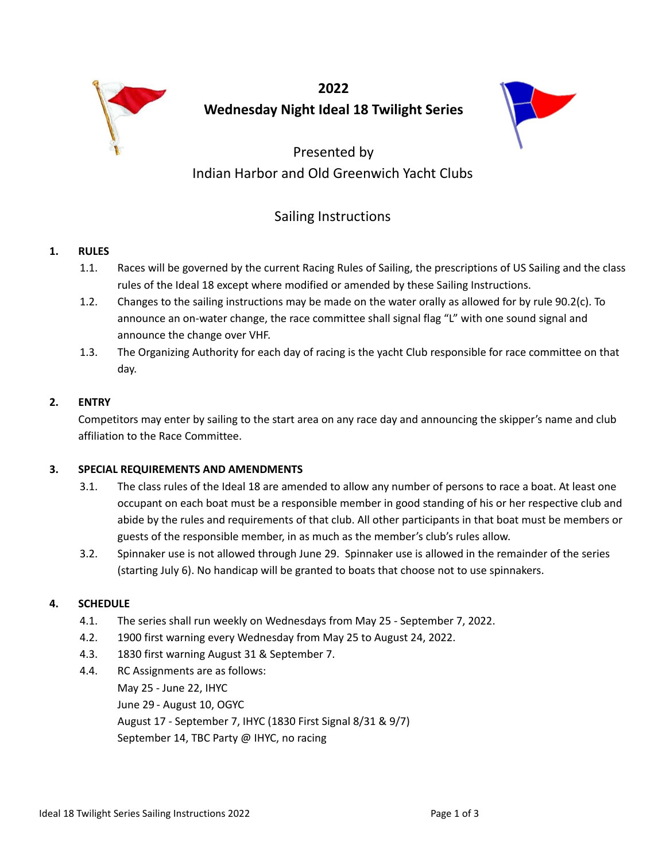

**2022 Wednesday Night Ideal 18 Twilight Series**



# Presented by Indian Harbor and Old Greenwich Yacht Clubs

# Sailing Instructions

# **1. RULES**

- 1.1. Races will be governed by the current Racing Rules of Sailing, the prescriptions of US Sailing and the class rules of the Ideal 18 except where modified or amended by these Sailing Instructions.
- 1.2. Changes to the sailing instructions may be made on the water orally as allowed for by rule 90.2(c). To announce an on-water change, the race committee shall signal flag "L" with one sound signal and announce the change over VHF.
- 1.3. The Organizing Authority for each day of racing is the yacht Club responsible for race committee on that day.

# **2. ENTRY**

Competitors may enter by sailing to the start area on any race day and announcing the skipper's name and club affiliation to the Race Committee.

# **3. SPECIAL REQUIREMENTS AND AMENDMENTS**

- 3.1. The class rules of the Ideal 18 are amended to allow any number of persons to race a boat. At least one occupant on each boat must be a responsible member in good standing of his or her respective club and abide by the rules and requirements of that club. All other participants in that boat must be members or guests of the responsible member, in as much as the member's club's rules allow.
- 3.2. Spinnaker use is not allowed through June 29. Spinnaker use is allowed in the remainder of the series (starting July 6). No handicap will be granted to boats that choose not to use spinnakers.

# **4. SCHEDULE**

- 4.1. The series shall run weekly on Wednesdays from May 25 September 7, 2022.
- 4.2. 1900 first warning every Wednesday from May 25 to August 24, 2022.
- 4.3. 1830 first warning August 31 & September 7.
- 4.4. RC Assignments are as follows: May 25 - June 22, IHYC June 29 - August 10, OGYC August 17 - September 7, IHYC (1830 First Signal 8/31 & 9/7) September 14, TBC Party @ IHYC, no racing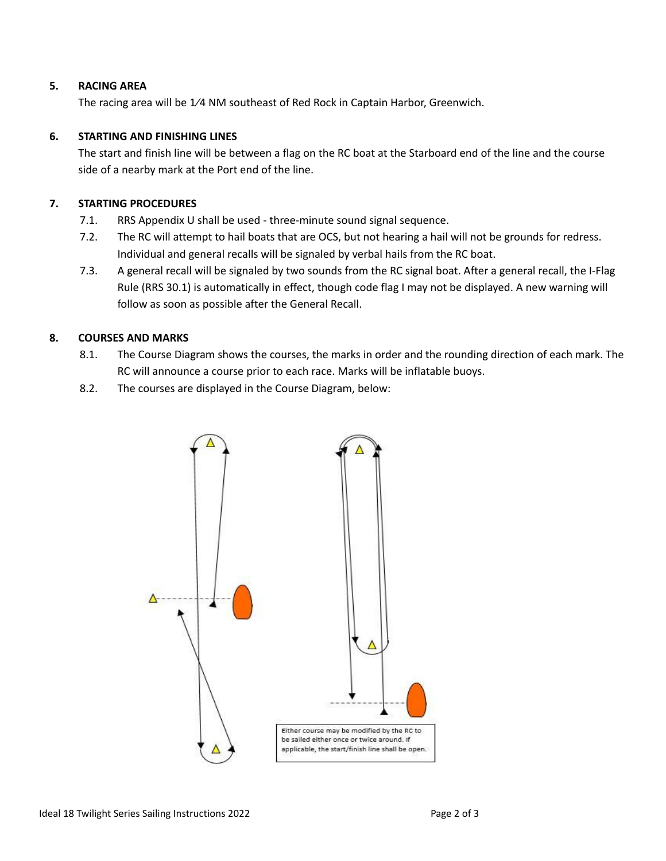## **5. RACING AREA**

The racing area will be 1⁄4 NM southeast of Red Rock in Captain Harbor, Greenwich.

## **6. STARTING AND FINISHING LINES**

The start and finish line will be between a flag on the RC boat at the Starboard end of the line and the course side of a nearby mark at the Port end of the line.

# **7. STARTING PROCEDURES**

- 7.1. RRS Appendix U shall be used three-minute sound signal sequence.
- 7.2. The RC will attempt to hail boats that are OCS, but not hearing a hail will not be grounds for redress. Individual and general recalls will be signaled by verbal hails from the RC boat.
- 7.3. A general recall will be signaled by two sounds from the RC signal boat. After a general recall, the I-Flag Rule (RRS 30.1) is automatically in effect, though code flag I may not be displayed. A new warning will follow as soon as possible after the General Recall.

# **8. COURSES AND MARKS**

- 8.1. The Course Diagram shows the courses, the marks in order and the rounding direction of each mark. The RC will announce a course prior to each race. Marks will be inflatable buoys.
- 8.2. The courses are displayed in the Course Diagram, below: